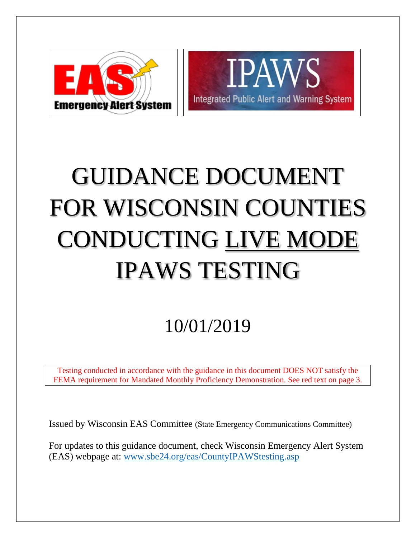



# GUIDANCE DOCUMENT FOR WISCONSIN COUNTIES CONDUCTING LIVE MODE IPAWS TESTING

# 10/01/2019

Testing conducted in accordance with the guidance in this document DOES NOT satisfy the FEMA requirement for Mandated Monthly Proficiency Demonstration. See red text on page 3.

Issued by Wisconsin EAS Committee (State Emergency Communications Committee)

For updates to this guidance document, check Wisconsin Emergency Alert System (EAS) webpage at: [www.sbe24.org/eas/CountyIPAWStesting.asp](http://www.sbe24.org/eas/CountyIPAWStesting.asp)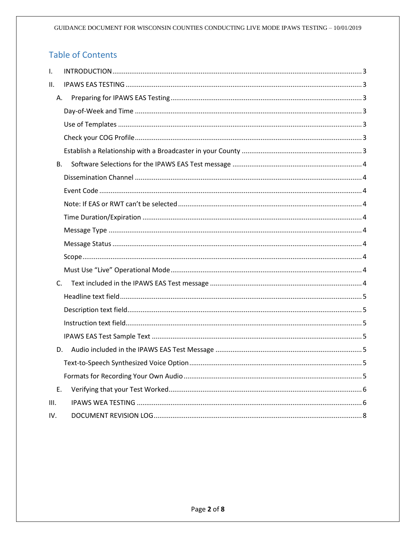# **Table of Contents**

| $\mathsf{I}$ . |    |
|----------------|----|
| II.            |    |
| А.             |    |
|                |    |
|                |    |
|                |    |
|                |    |
| B <sub>1</sub> |    |
|                |    |
|                |    |
|                |    |
|                |    |
|                |    |
|                |    |
|                |    |
|                |    |
|                | C. |
|                |    |
|                |    |
|                |    |
|                |    |
|                | D. |
|                |    |
|                |    |
| E.             |    |
| III.           |    |
| IV.            |    |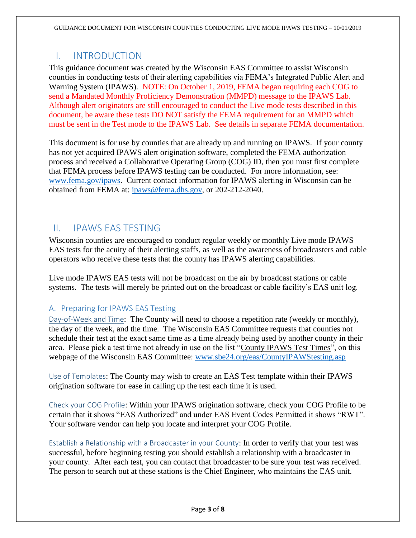## <span id="page-2-0"></span>I. INTRODUCTION

This guidance document was created by the Wisconsin EAS Committee to assist Wisconsin counties in conducting tests of their alerting capabilities via FEMA's Integrated Public Alert and Warning System (IPAWS). NOTE: On October 1, 2019, FEMA began requiring each COG to send a Mandated Monthly Proficiency Demonstration (MMPD) message to the IPAWS Lab. Although alert originators are still encouraged to conduct the Live mode tests described in this document, be aware these tests DO NOT satisfy the FEMA requirement for an MMPD which must be sent in the Test mode to the IPAWS Lab. See details in separate FEMA documentation.

This document is for use by counties that are already up and running on IPAWS. If your county has not yet acquired IPAWS alert origination software, completed the FEMA authorization process and received a Collaborative Operating Group (COG) ID, then you must first complete that FEMA process before IPAWS testing can be conducted. For more information, see: [www.fema.gov/ipaws.](http://www.fema.gov/ipaws) Current contact information for IPAWS alerting in Wisconsin can be obtained from FEMA at: [ipaws@fema.dhs.gov,](mailto:ipaws@fema.dhs.gov) or 202-212-2040.

## <span id="page-2-1"></span>II. IPAWS EAS TESTING

Wisconsin counties are encouraged to conduct regular weekly or monthly Live mode IPAWS EAS tests for the acuity of their alerting staffs, as well as the awareness of broadcasters and cable operators who receive these tests that the county has IPAWS alerting capabilities.

Live mode IPAWS EAS tests will not be broadcast on the air by broadcast stations or cable systems. The tests will merely be printed out on the broadcast or cable facility's EAS unit log.

#### <span id="page-2-2"></span>A. Preparing for IPAWS EAS Testing

<span id="page-2-3"></span>Day-of-Week and Time: The County will need to choose a repetition rate (weekly or monthly), the day of the week, and the time. The Wisconsin EAS Committee requests that counties not schedule their test at the exact same time as a time already being used by another county in their area. Please pick a test time not already in use on the list "County IPAWS Test Times", on this webpage of the Wisconsin EAS Committee: [www.sbe24.org/eas/CountyIPAWStesting.asp](http://www.sbe24.org/eas/CountyIPAWStesting.asp)

<span id="page-2-4"></span>Use of Templates: The County may wish to create an EAS Test template within their IPAWS origination software for ease in calling up the test each time it is used.

<span id="page-2-5"></span>Check your COG Profile: Within your IPAWS origination software, check your COG Profile to be certain that it shows "EAS Authorized" and under EAS Event Codes Permitted it shows "RWT". Your software vendor can help you locate and interpret your COG Profile.

<span id="page-2-6"></span>Establish a Relationship with a Broadcaster in your County: In order to verify that your test was successful, before beginning testing you should establish a relationship with a broadcaster in your county. After each test, you can contact that broadcaster to be sure your test was received. The person to search out at these stations is the Chief Engineer, who maintains the EAS unit.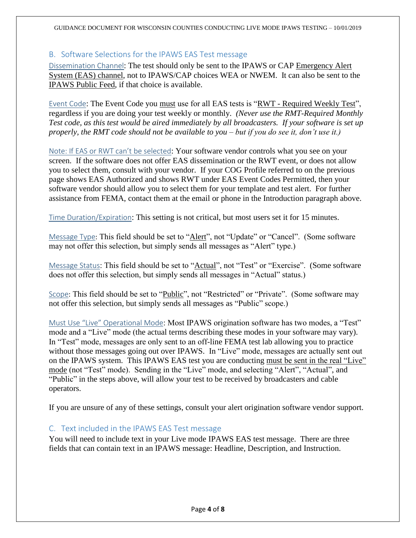#### <span id="page-3-0"></span>B. Software Selections for the IPAWS EAS Test message

<span id="page-3-1"></span>Dissemination Channel: The test should only be sent to the IPAWS or CAP Emergency Alert System (EAS) channel, not to IPAWS/CAP choices WEA or NWEM. It can also be sent to the IPAWS Public Feed, if that choice is available.

<span id="page-3-2"></span>Event Code: The Event Code you must use for all EAS tests is "RWT - Required Weekly Test", regardless if you are doing your test weekly or monthly. *(Never use the RMT-Required Monthly Test code, as this test would be aired immediately by all broadcasters. If your software is set up properly, the RMT code should not be available to you – but if you do see it, don't use it.)*

<span id="page-3-3"></span>Note: If EAS or RWT can't be selected: Your software vendor controls what you see on your screen. If the software does not offer EAS dissemination or the RWT event, or does not allow you to select them, consult with your vendor. If your COG Profile referred to on the previous page shows EAS Authorized and shows RWT under EAS Event Codes Permitted, then your software vendor should allow you to select them for your template and test alert. For further assistance from FEMA, contact them at the email or phone in the Introduction paragraph above.

<span id="page-3-4"></span>Time Duration/Expiration: This setting is not critical, but most users set it for 15 minutes.

<span id="page-3-5"></span>Message Type: This field should be set to "Alert", not "Update" or "Cancel". (Some software may not offer this selection, but simply sends all messages as "Alert" type.)

<span id="page-3-6"></span>Message Status: This field should be set to "Actual", not "Test" or "Exercise". (Some software does not offer this selection, but simply sends all messages in "Actual" status.)

<span id="page-3-7"></span>Scope: This field should be set to "Public", not "Restricted" or "Private". (Some software may not offer this selection, but simply sends all messages as "Public" scope.)

<span id="page-3-8"></span>Must Use "Live" Operational Mode: Most IPAWS origination software has two modes, a "Test" mode and a "Live" mode (the actual terms describing these modes in your software may vary). In "Test" mode, messages are only sent to an off-line FEMA test lab allowing you to practice without those messages going out over IPAWS. In "Live" mode, messages are actually sent out on the IPAWS system. This IPAWS EAS test you are conducting must be sent in the real "Live" mode (not "Test" mode). Sending in the "Live" mode, and selecting "Alert", "Actual", and "Public" in the steps above, will allow your test to be received by broadcasters and cable operators.

If you are unsure of any of these settings, consult your alert origination software vendor support.

#### <span id="page-3-9"></span>C. Text included in the IPAWS EAS Test message

You will need to include text in your Live mode IPAWS EAS test message. There are three fields that can contain text in an IPAWS message: Headline, Description, and Instruction.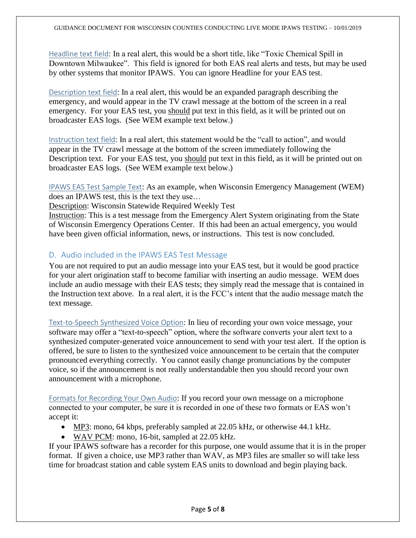<span id="page-4-0"></span>Headline text field: In a real alert, this would be a short title, like "Toxic Chemical Spill in Downtown Milwaukee". This field is ignored for both EAS real alerts and tests, but may be used by other systems that monitor IPAWS. You can ignore Headline for your EAS test.

<span id="page-4-1"></span>Description text field: In a real alert, this would be an expanded paragraph describing the emergency, and would appear in the TV crawl message at the bottom of the screen in a real emergency. For your EAS test, you should put text in this field, as it will be printed out on broadcaster EAS logs. (See WEM example text below.)

<span id="page-4-2"></span>Instruction text field: In a real alert, this statement would be the "call to action", and would appear in the TV crawl message at the bottom of the screen immediately following the Description text. For your EAS test, you should put text in this field, as it will be printed out on broadcaster EAS logs. (See WEM example text below.)

<span id="page-4-3"></span>IPAWS EAS Test Sample Text: As an example, when Wisconsin Emergency Management (WEM) does an IPAWS test, this is the text they use…

Description: Wisconsin Statewide Required Weekly Test

Instruction: This is a test message from the Emergency Alert System originating from the State of Wisconsin Emergency Operations Center. If this had been an actual emergency, you would have been given official information, news, or instructions. This test is now concluded.

#### <span id="page-4-4"></span>D. Audio included in the IPAWS EAS Test Message

You are not required to put an audio message into your EAS test, but it would be good practice for your alert origination staff to become familiar with inserting an audio message. WEM does include an audio message with their EAS tests; they simply read the message that is contained in the Instruction text above. In a real alert, it is the FCC's intent that the audio message match the text message.

<span id="page-4-5"></span>Text-to-Speech Synthesized Voice Option: In lieu of recording your own voice message, your software may offer a "text-to-speech" option, where the software converts your alert text to a synthesized computer-generated voice announcement to send with your test alert. If the option is offered, be sure to listen to the synthesized voice announcement to be certain that the computer pronounced everything correctly. You cannot easily change pronunciations by the computer voice, so if the announcement is not really understandable then you should record your own announcement with a microphone.

<span id="page-4-6"></span>Formats for Recording Your Own Audio: If you record your own message on a microphone connected to your computer, be sure it is recorded in one of these two formats or EAS won't accept it:

- MP3: mono, 64 kbps, preferably sampled at 22.05 kHz, or otherwise 44.1 kHz.
- WAV PCM: mono, 16-bit, sampled at 22.05 kHz.

If your IPAWS software has a recorder for this purpose, one would assume that it is in the proper format. If given a choice, use MP3 rather than WAV, as MP3 files are smaller so will take less time for broadcast station and cable system EAS units to download and begin playing back.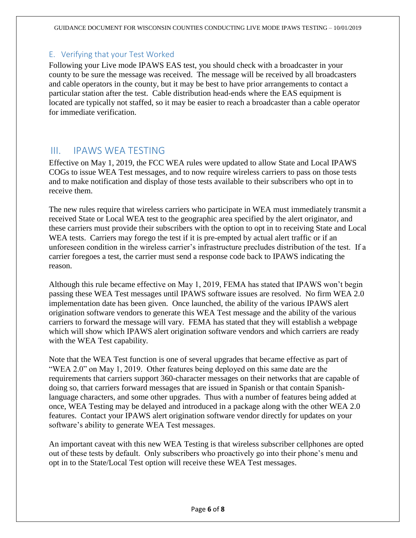#### <span id="page-5-0"></span>E. Verifying that your Test Worked

Following your Live mode IPAWS EAS test, you should check with a broadcaster in your county to be sure the message was received. The message will be received by all broadcasters and cable operators in the county, but it may be best to have prior arrangements to contact a particular station after the test. Cable distribution head-ends where the EAS equipment is located are typically not staffed, so it may be easier to reach a broadcaster than a cable operator for immediate verification.

#### <span id="page-5-1"></span>III. IPAWS WEA TESTING

Effective on May 1, 2019, the FCC WEA rules were updated to allow State and Local IPAWS COGs to issue WEA Test messages, and to now require wireless carriers to pass on those tests and to make notification and display of those tests available to their subscribers who opt in to receive them.

The new rules require that wireless carriers who participate in WEA must immediately transmit a received State or Local WEA test to the geographic area specified by the alert originator, and these carriers must provide their subscribers with the option to opt in to receiving State and Local WEA tests. Carriers may forego the test if it is pre-empted by actual alert traffic or if an unforeseen condition in the wireless carrier's infrastructure precludes distribution of the test. If a carrier foregoes a test, the carrier must send a response code back to IPAWS indicating the reason.

Although this rule became effective on May 1, 2019, FEMA has stated that IPAWS won't begin passing these WEA Test messages until IPAWS software issues are resolved. No firm WEA 2.0 implementation date has been given. Once launched, the ability of the various IPAWS alert origination software vendors to generate this WEA Test message and the ability of the various carriers to forward the message will vary. FEMA has stated that they will establish a webpage which will show which IPAWS alert origination software vendors and which carriers are ready with the WEA Test capability.

Note that the WEA Test function is one of several upgrades that became effective as part of "WEA 2.0" on May 1, 2019. Other features being deployed on this same date are the requirements that carriers support 360-character messages on their networks that are capable of doing so, that carriers forward messages that are issued in Spanish or that contain Spanishlanguage characters, and some other upgrades. Thus with a number of features being added at once, WEA Testing may be delayed and introduced in a package along with the other WEA 2.0 features. Contact your IPAWS alert origination software vendor directly for updates on your software's ability to generate WEA Test messages.

An important caveat with this new WEA Testing is that wireless subscriber cellphones are opted out of these tests by default. Only subscribers who proactively go into their phone's menu and opt in to the State/Local Test option will receive these WEA Test messages.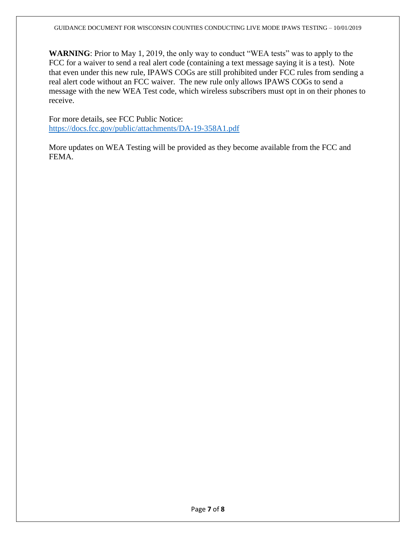**WARNING**: Prior to May 1, 2019, the only way to conduct "WEA tests" was to apply to the FCC for a waiver to send a real alert code (containing a text message saying it is a test). Note that even under this new rule, IPAWS COGs are still prohibited under FCC rules from sending a real alert code without an FCC waiver. The new rule only allows IPAWS COGs to send a message with the new WEA Test code, which wireless subscribers must opt in on their phones to receive.

For more details, see FCC Public Notice: <https://docs.fcc.gov/public/attachments/DA-19-358A1.pdf>

More updates on WEA Testing will be provided as they become available from the FCC and FEMA.